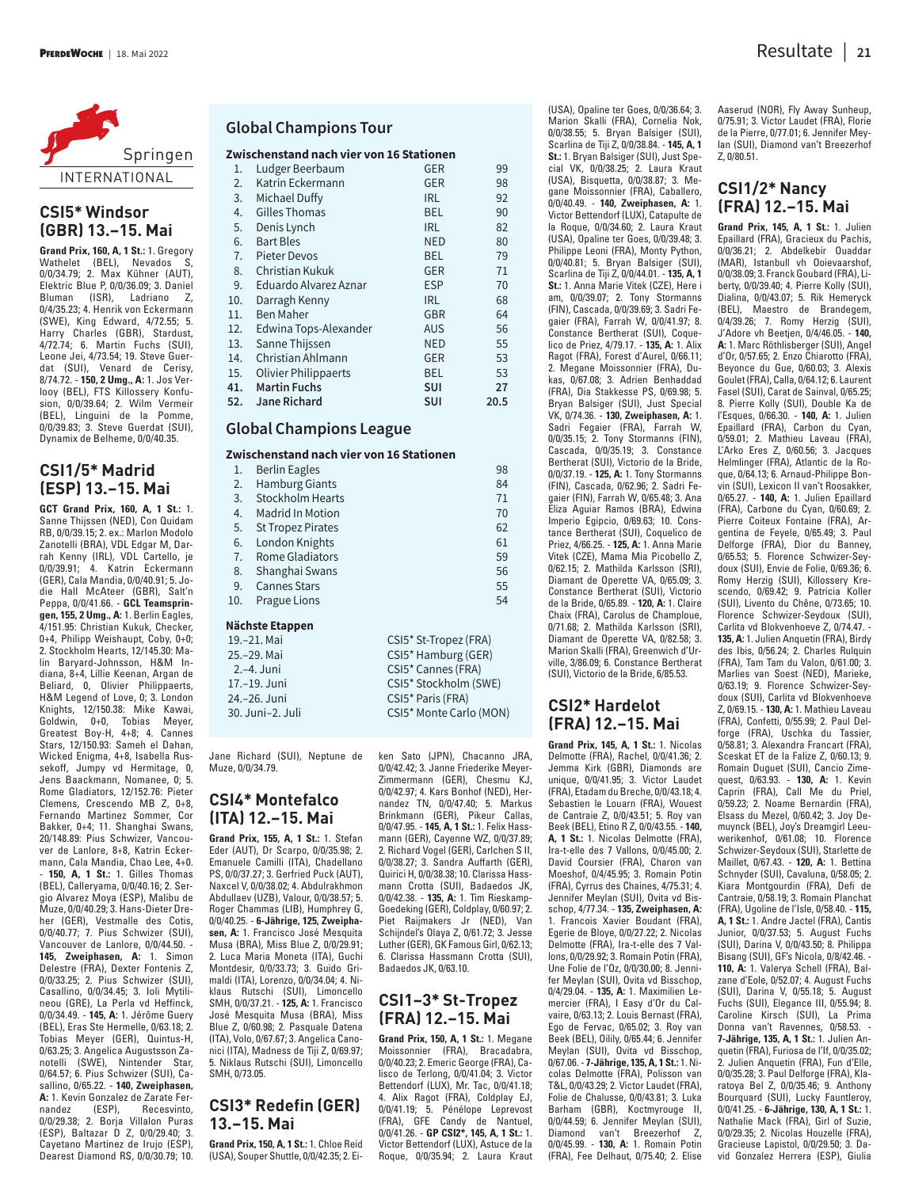

# **CSI5\* Windsor (GBR) 13.–15. Mai**

**Grand Prix, 160, A, 1 St.:** 1. Gregory Wathelet (BEL), Nevados S, 0/0/34.79; 2. Max Kühner (AUT), Elektric Blue P, 0/0/36.09; 3. Daniel Bluman (ISR), Ladriano Z, 0/4/35.23; 4. Henrik von Eckermann (SWE), King Edward, 4/72.55; 5. Harry Charles (GBR), Stardust, 4/72.74; 6. Martin Fuchs (SUI), Leone Jei, 4/73.54; 19. Steve Guerdat (SUI), Venard de Cerisy, 8/74.72. - **150, 2 Umg., A:** 1. Jos Verlooy (BEL), FTS Killossery Konfusion, 0/0/39.64; 2. Wilm Vermeir (BEL), Linguini de la Pomme, 0/0/39.83; 3. Steve Guerdat (SUI), Dynamix de Belheme, 0/0/40.35.

## **CSI1/5\* Madrid (ESP) 13.–15. Mai**

**GCT Grand Prix, 160, A, 1 St.:** 1. Sanne Thijssen (NED), Con Quidam RB, 0/0/39.15; 2. ex.: Marlon Modolo Zanotelli (BRA), VDL Edgar M, Darrah Kenny (IRL), VDL Cartello, je 0/0/39.91; 4. Katrin Eckermann (GER), Cala Mandia, 0/0/40.91; 5. Jodie Hall McAteer (GBR), Salt'n Peppa, 0/0/41.66. - **GCL Teamspringen, 155, 2 Umg., A:** 1. Berlin Eagles, 4/151.95: Christian Kukuk, Checker, 0+4, Philipp Weishaupt, Coby, 0+0; 2. Stockholm Hearts, 12/145.30: Malin Baryard-Johnsson, H&M Indiana, 8+4, Lillie Keenan, Argan de Beliard, 0, Olivier Philippaerts, H&M Legend of Love, 0; 3. London Knights, 12/150.38: Mike Kawai, Goldwin, 0+0, Tobias Meyer, Greatest Boy-H, 4+8; 4. Cannes Stars, 12/150.93: Sameh el Dahan, Wicked Enigma, 4+8, Isabella Russekoff, Jumpy vd Hermitage, 0, Jens Baackmann, Nomanee, 0; 5. Rome Gladiators, 12/152.76: Pieter Clemens, Crescendo MB Z, 0+8, Fernando Martinez Sommer, Cor Bakker, 0+4; 11. Shanghai Swans, 20/148.89: Pius Schwizer, Vancouver de Lanlore, 8+8, Katrin Eckermann, Cala Mandia, Chao Lee, 4+0. - **150, A, 1 St.:** 1. Gilles Thomas (BEL), Calleryama, 0/0/40.16; 2. Sergio Alvarez Moya (ESP), Malibu de Muze, 0/0/40.29; 3. Hans-Dieter Dreher (GER), Vestmalle des Cotis, 0/0/40.77; 7. Pius Schwizer (SUI), Vancouver de Lanlore, 0/0/44.50. - **145, Zweiphasen, A:** 1. Simon Delestre (FRA), Dexter Fontenis Z, 0/0/33.25; 2. Pius Schwizer (SUI), Casallino, 0/0/34.45; 3. Ioli Mytilineou (GRE), La Perla vd Heffinck, 0/0/34.49. - **145, A:** 1. Jérôme Guery (BEL), Eras Ste Hermelle, 0/63.18; 2. Tobias Meyer (GER), Quintus-H, 0/63.25; 3. Angelica Augustsson Zanotelli (SWE), Nintender Star, 0/64.57; 6. Pius Schwizer (SUI), Casallino, 0/65.22. - **140, Zweiphasen,** A: 1. Kevin Gonzalez de Zarate Fer-<br>nandez (ESP), Recesvinto, Recesvinto, 0/0/29.38; 2. Borja Villalon Puras (ESP), Baltazar D Z, 0/0/29.40; 3. Cayetano Martinez de Irujo (ESP), Dearest Diamond RS, 0/0/30.79; 10.

#### **Global Champions Tour**

#### **Zwischenstand nach vier von 16 Stationen**

| 1.  | Ludger Beerbaum             | <b>GER</b> | 99   |
|-----|-----------------------------|------------|------|
| 2.  | Katrin Eckermann            | <b>GER</b> | 98   |
| 3.  | Michael Duffy               | <b>IRL</b> | 92   |
| 4.  | Gilles Thomas               | <b>BEL</b> | 90   |
| 5.  | Denis Lynch                 | <b>IRL</b> | 82   |
| 6.  | <b>Bart Bles</b>            | <b>NED</b> | 80   |
| 7.  | <b>Pieter Devos</b>         | <b>BEL</b> | 79   |
| 8.  | Christian Kukuk             | <b>GER</b> | 71   |
| 9.  | Eduardo Alvarez Aznar       | <b>ESP</b> | 70   |
| 10. | Darragh Kenny               | <b>IRL</b> | 68   |
| 11. | <b>Ben Maher</b>            | <b>GBR</b> | 64   |
| 12. | Edwina Tops-Alexander       | <b>AUS</b> | 56   |
| 13. | Sanne Thijssen              | <b>NED</b> | 55   |
| 14. | Christian Ahlmann           | <b>GER</b> | 53   |
| 15. | <b>Olivier Philippaerts</b> | <b>BEL</b> | 53   |
| 41. | <b>Martin Fuchs</b>         | <b>SUI</b> | 27   |
| 52. | <b>Jane Richard</b>         | <b>SUI</b> | 20.5 |

### **Global Champions League**

#### **Zwischenstand nach vier von 16 Stationen**

| 1.               | Berlin Eagles            | 98                      |  |  |  |  |
|------------------|--------------------------|-------------------------|--|--|--|--|
| 2.               | <b>Hamburg Giants</b>    | 84                      |  |  |  |  |
| 3.               | Stockholm Hearts         | 71                      |  |  |  |  |
| 4.               | <b>Madrid In Motion</b>  | 70                      |  |  |  |  |
| 5.               | <b>St Tropez Pirates</b> | 62                      |  |  |  |  |
| 6.               | London Knights           | 61                      |  |  |  |  |
| 7.               | <b>Rome Gladiators</b>   | 59                      |  |  |  |  |
| 8.               | Shanghai Swans           | 56                      |  |  |  |  |
| 9.               | <b>Cannes Stars</b>      | 55                      |  |  |  |  |
| 10.              | <b>Prague Lions</b>      | 54                      |  |  |  |  |
| Nächste Etappen  |                          |                         |  |  |  |  |
| 19.-21. Mai      |                          | CSI5* St-Tropez (FRA)   |  |  |  |  |
| 25.–29. Mai      |                          | CSI5* Hamburg (GER)     |  |  |  |  |
| 2.–4. Juni       |                          | CSI5* Cannes (FRA)      |  |  |  |  |
| 17.-19. Juni     |                          | CSI5* Stockholm (SWE)   |  |  |  |  |
| 24.-26. Juni     |                          | CSI5* Paris (FRA)       |  |  |  |  |
| 30. Juni-2. Juli |                          | CSI5* Monte Carlo (MON) |  |  |  |  |

Jane Richard (SUI), Neptune de Muze, 0/0/34.79.

# **CSI4\* Montefalco (ITA) 12.–15. Mai**

**Grand Prix, 155, A, 1 St.:** 1. Stefan Eder (AUT), Dr Scarpo, 0/0/35.98; 2. Emanuele Camilli (ITA), Chadellano PS, 0/0/37.27; 3. Gerfried Puck (AUT), Naxcel V, 0/0/38.02; 4. Abdulrakhmon Abdullaev (UZB), Valour, 0/0/38.57; 5. Roger Chammas (LIB), Humphrey G, 0/0/40.25. - **6-Jährige, 125, Zweiphasen, A:** 1. Francisco José Mesquita Musa (BRA), Miss Blue Z, 0/0/29.91; 2. Luca Maria Moneta (ITA), Guchi Montdesir, 0/0/33.73; 3. Guido Grimaldi (ITA), Lorenzo, 0/0/34.04; 4. Niklaus Rutschi (SUI), Limoncello SMH, 0/0/37.21. - **125, A:** 1. Francisco José Mesquita Musa (BRA), Miss Blue Z, 0/60.98; 2. Pasquale Datena (ITA), Volo, 0/67.67; 3. Angelica Canonici (ITA), Madness de Tiji Z, 0/69.97; 5. Niklaus Rutschi (SUI), Limoncello SMH, 0/73.05.

# **CSI3\* Redefin (GER) 13.–15. Mai**

**Grand Prix, 150, A, 1 St.:** 1. Chloe Reid (USA), Souper Shuttle, 0/0/42.35; 2. Ei-

ken Sato (JPN), Chacanno JRA, 0/0/42.42; 3. Janne Friederike Meyer-Zimmermann (GER), Chesmu KJ, 0/0/42.97; 4. Kars Bonhof (NED), Hernandez TN, 0/0/47.40; 5. Markus Brinkmann (GER), Pikeur Callas, 0/0/47.95. - **145, A, 1 St.:** 1. Felix Hassmann (GER), Cayenne WZ, 0/0/37.89; 2. Richard Vogel (GER), Carlchen S II, 0/0/38.27; 3. Sandra Auffarth (GER), Quirici H, 0/0/38.38; 10. Clarissa Hassmann Crotta (SUI), Badaedos JK, 0/0/42.38. - **135, A:** 1. Tim Rieskamp-Goedeking (GER), Coldplay, 0/60.97; 2. Piet Raijmakers Jr (NED), Van Schijndel's Olaya Z, 0/61.72; 3. Jesse Luther (GER), GK Famous Girl, 0/62.13; 6. Clarissa Hassmann Crotta (SUI), Badaedos JK, 0/63.10.

# **CSI1–3\* St-Tropez (FRA) 12.–15. Mai**

**Grand Prix, 150, A, 1 St.:** 1. Megane Moissonnier (FRA), Bracadabra, 0/0/40.23; 2. Emeric George (FRA), Calisco de Terlong, 0/0/41.04; 3. Victor Bettendorf (LUX), Mr. Tac, 0/0/41.18; 4. Alix Ragot (FRA), Coldplay EJ, 0/0/41.19; 5. Pénélope Leprevost (FRA), GFE Candy de Nantuel, 0/0/41.26. - **GP CSI2\*, 145, A, 1 St.:** 1. Victor Bettendorf (LUX), Astuce de la Roque, 0/0/35.94; 2. Laura Kraut (USA), Opaline ter Goes, 0/0/36.64; 3. Marion Skalli (FRA), Cornelia Nok, 0/0/38.55; 5. Bryan Balsiger (SUI), Scarlina de Tiji Z, 0/0/38.84. - **145, A, 1 St.:** 1. Bryan Balsiger (SUI), Just Special VK, 0/0/38.25; 2. Laura Kraut (USA), Bisquetta, 0/0/38.87; 3. Megane Moissonnier (FRA), Caballero, 0/0/40.49. - **140, Zweiphasen, A:** 1. Victor Bettendorf (LUX), Catapulte de la Roque, 0/0/34.60; 2. Laura Kraut (USA), Opaline ter Goes, 0/0/39.48; 3. Philippe Leoni (FRA), Monty Python, 0/0/40.81; 5. Bryan Balsiger (SUI), Scarlina de Tiji Z, 0/0/44.01. - **135, A, 1 St.:** 1. Anna Marie Vitek (CZE), Here i am, 0/0/39.07; 2. Tony Stormanns (FIN), Cascada, 0/0/39.69; 3. Sadri Fegaier (FRA), Farrah W, 0/0/41.97; 8. Constance Bertherat (SUI), Coquelico de Priez, 4/79.17. - **135, A:** 1. Alix Ragot (FRA), Forest d'Aurel, 0/66.11; 2. Megane Moissonnier (FRA), Dukas, 0/67.08; 3. Adrien Benhaddad (FRA), Dia Stakkesse PS, 0/69.98; 5. Bryan Balsiger (SUI), Just Special VK, 0/74.36. - **130, Zweiphasen, A:** 1. Sadri Fegaier (FRA), Farrah W, 0/0/35.15; 2. Tony Stormanns (FIN), Cascada, 0/0/35.19; 3. Constance Bertherat (SUI), Victorio de la Bride, 0/0/37.19. - **125, A:** 1. Tony Stormanns (FIN), Cascada, 0/62.96; 2. Sadri Fegaier (FIN), Farrah W, 0/65.48; 3. Ana Eliza Aguiar Ramos (BRA), Edwina Imperio Egipcio, 0/69.63; 10. Constance Bertherat (SUI), Coquelico de Priez, 4/66.25. - **125, A:** 1. Anna Marie Vitek (CZE), Mama Mia Picobello Z, 0/62.15; 2. Mathilda Karlsson (SRI), Diamant de Operette VA, 0/65.09; 3. Constance Bertherat (SUI), Victorio de la Bride, 0/65.89. - **120, A:** 1. Claire Chaix (FRA), Carolus de Champloue, 0/71.68; 2. Mathilda Karlsson (SRI), Diamant de Operette VA, 0/82.58; 3. Marion Skalli (FRA), Greenwich d'Urville, 3/86.09; 6. Constance Bertherat (SUI), Victorio de la Bride, 6/85.53.

#### **CSI2\* Hardelot (FRA) 12.–15. Mai**

**Grand Prix, 145, A, 1 St.:** 1. Nicolas Delmotte (FRA), Rachel, 0/0/41.36; 2. Jemma Kirk (GBR), Diamonds are unique, 0/0/41.95; 3. Victor Laudet (FRA), Etadam du Breche, 0/0/43.18; 4. Sebastien le Louarn (FRA), Wouest de Cantraie Z, 0/0/43.51; 5. Roy van Beek (BEL), Etino R Z, 0/0/43.55. - **140, A, 1 St.:** 1. Nicolas Delmotte (FRA), Ira-t-elle des 7 Vallons, 0/0/45.00; 2. David Coursier (FRA), Charon van Moeshof, 0/4/45.95; 3. Romain Potin (FRA), Cyrrus des Chaines, 4/75.31; 4. Jennifer Meylan (SUI), Ovita vd Bisschop, 4/77.34. - **135, Zweiphasen, A:** 1. Francois Xavier Boudant (FRA), Egerie de Bloye, 0/0/27.22; 2. Nicolas Delmotte (FRA), Ira-t-elle des 7 Vallons, 0/0/29.92; 3. Romain Potin (FRA), Une Folie de l'Oz, 0/0/30.00; 8. Jennifer Meylan (SUI), Ovita vd Bisschop, 0/4/29.04. - **135, A:** 1. Maximilien Lemercier (FRA), I Easy d'Or du Calvaire, 0/63.13; 2. Louis Bernast (FRA), Ego de Fervac, 0/65.02; 3. Roy van Beek (BEL), Oilily, 0/65.44; 6. Jennifer Meylan (SUI), Ovita vd Bisschop, 0/67.06. - **7-Jährige, 135, A, 1 St.:** 1. Nicolas Delmotte (FRA), Polisson van T&L, 0/0/43.29; 2. Victor Laudet (FRA), Folie de Chalusse, 0/0/43.81; 3. Luka Barham (GBR), Koctmyrouge II, 0/0/44.59; 6. Jennifer Meylan (SUI), Diamond van't Breezerhof Z, 0/0/45.99. - **130, A:** 1. Romain Potin (FRA), Fee Delhaut, 0/75.40; 2. Elise

Aaserud (NOR), Fly Away Sunheup, 0/75.91; 3. Victor Laudet (FRA), Florie de la Pierre, 0/77.01; 6. Jennifer Meylan (SUI), Diamond van't Breezerhof Z, 0/80.51.

### **CSI1/2\* Nancy (FRA) 12.–15. Mai**

**Grand Prix, 145, A, 1 St.:** 1. Julien Epaillard (FRA), Gracieux du Pachis, 0/0/36.21; 2. Abdelkebir Ouaddar (MAR), Istanbull vh Ooievaarshof, 0/0/38.09; 3. Franck Goubard (FRA), Liberty, 0/0/39.40; 4. Pierre Kolly (SUI), Dialina, 0/0/43.07; 5. Rik Hemeryck (BEL), Maestro de Brandegem, 0/4/39.26; 7. Romy Herzig (SUI), J'Adore vh Beetjen, 0/4/46.05. - **140, A:** 1. Marc Röthlisberger (SUI), Angel d'Or, 0/57.65; 2. Enzo Chiarotto (FRA), Beyonce du Gue, 0/60.03; 3. Alexis Goulet (FRA), Calla, 0/64.12; 6. Laurent Fasel (SUI), Carat de Sainval, 0/65.25; 8. Pierre Kolly (SUI), Double Ka de l'Esques, 0/66.30. - **140, A:** 1. Julien Epaillard (FRA), Carbon du Cyan, 0/59.01; 2. Mathieu Laveau (FRA), L'Arko Eres Z, 0/60.56; 3. Jacques Helmlinger (FRA), Atlantic de la Roque, 0/64.13; 6. Arnaud-Philippe Bonvin (SUI), Lexicon II van't Roosakker, 0/65.27. - **140, A:** 1. Julien Epaillard (FRA), Carbone du Cyan, 0/60.69; 2. Pierre Coiteux Fontaine (FRA), Argentina de Feyele, 0/65.49; 3. Paul Delforge (FRA), Dior du Banney, 0/65.53; 5. Florence Schwizer-Seydoux (SUI), Envie de Folie, 0/69.36; 6. Romy Herzig (SUI), Killossery Krescendo, 0/69.42; 9. Patricia Koller (SUI), Livento du Chêne, 0/73.65; 10. Florence Schwizer-Seydoux (SUI), Carlita vd Blokvenhoeve Z, 0/74.47. - **135, A:** 1. Julien Anquetin (FRA), Birdy des Ibis, 0/56.24; 2. Charles Rulquin (FRA), Tam Tam du Valon, 0/61.00; 3. Marlies van Soest (NED), Marieke, 0/63.19; 9. Florence Schwizer-Seydoux (SUI), Carlita vd Blokvenhoeve Z, 0/69.15. - **130, A:** 1. Mathieu Laveau (FRA), Confetti, 0/55.99; 2. Paul Delforge (FRA), Uschka du Tassier, 0/58.81; 3. Alexandra Francart (FRA), Sceskat ET de la Falize Z, 0/60.13; 9. Romain Duguet (SUI), Cancio Zimequest, 0/63.93. - **130, A:** 1. Kevin Caprin (FRA), Call Me du Priel, 0/59.23; 2. Noame Bernardin (FRA), Elsass du Mezel, 0/60.42; 3. Joy Demuynck (BEL), Joy's Dreamgirl Leeuwerikenhof, 0/61.08; 10. Florence Schwizer-Seydoux (SUI), Starlette de Maillet, 0/67.43. - **120, A:** 1. Bettina Schnyder (SUI), Cavaluna, 0/58.05; 2. Kiara Montgourdin (FRA), Defi de Cantraie, 0/58.19; 3. Romain Planchat (FRA), Ugoline de l'Isle, 0/58.40. - **115, A, 1 St.:** 1. Andre Jactel (FRA), Cantis Junior, 0/0/37.53; 5. August Fuchs (SUI), Darina V, 0/0/43.50; 8. Philippa Bisang (SUI), GF's Nicola, 0/8/42.46. - **110, A:** 1. Valerya Schell (FRA), Balzane d'Eole, 0/52.07; 4. August Fuchs (SUI), Darina V, 0/55.18; 5. August Fuchs (SUI), Elegance III, 0/55.94; 8. Caroline Kirsch (SUI), La Prima Donna van't Ravennes, 0/58.53. - **7-Jährige, 135, A, 1 St.:** 1. Julien Anquetin (FRA), Furiosa de l'If, 0/0/35.02; 2. Julien Anquetin (FRA), Fun d'Elle, 0/0/35.28; 3. Paul Delforge (FRA), Klaratoya Bel Z, 0/0/35.46; 9. Anthony Bourquard (SUI), Lucky Fauntleroy, 0/0/41.25. - **6-Jährige, 130, A, 1 St.:** 1. Nathalie Mack (FRA), Girl of Suzie, 0/0/29.35; 2. Nicolas Houzelle (FRA), Gracieuse Lapistol, 0/0/29.50; 3. David Gonzalez Herrera (ESP), Giulia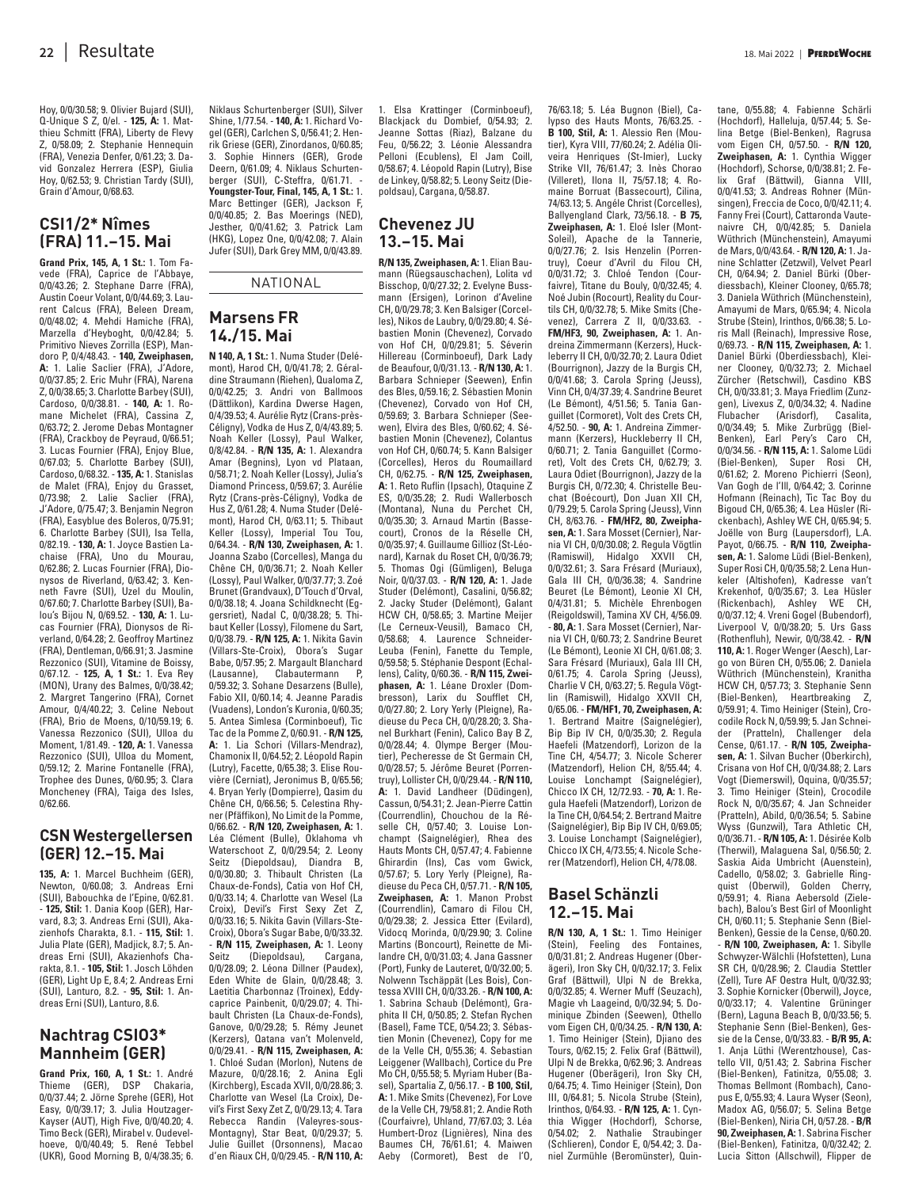Hoy, 0/0/30.58; 9. Olivier Bujard (SUI), Q-Unique S Z, 0/el. - **125, A:** 1. Matthieu Schmitt (FRA), Liberty de Flevy Z, 0/58.09; 2. Stephanie Hennequin (FRA), Venezia Denfer, 0/61.23; 3. David Gonzalez Herrera (ESP), Giulia Hoy, 0/62.53; 9. Christian Tardy (SUI), Grain d'Amour, 0/68.63.

# **CSI1/2\* Nîmes (FRA) 11.–15. Mai**

**Grand Prix, 145, A, 1 St.:** 1. Tom Favede (FRA), Caprice de l'Abbaye, 0/0/43.26; 2. Stephane Darre (FRA), Austin Coeur Volant, 0/0/44.69; 3. Laurent Calcus (FRA), Beleen Dream, 0/0/48.02; 4. Mehdi Hamiche (FRA), Marzella d'Heyboght, 0/0/42.84; 5. Primitivo Nieves Zorrilla (ESP), Mandoro P, 0/4/48.43. - **140, Zweiphasen, A:** 1. Lalie Saclier (FRA), J'Adore, 0/0/37.85; 2. Eric Muhr (FRA), Narena Z, 0/0/38.65; 3. Charlotte Barbey (SUI), Cardoso, 0/0/38.81. - **140, A:** 1. Romane Michelet (FRA), Cassina Z, 0/63.72; 2. Jerome Debas Montagner (FRA), Crackboy de Peyraud, 0/66.51; 3. Lucas Fournier (FRA), Enjoy Blue, 0/67.03; 5. Charlotte Barbey (SUI), Cardoso, 0/68.32. - **135, A:** 1. Stanislas de Malet (FRA), Enjoy du Grasset, 0/73.98; 2. Lalie Saclier (FRA), J'Adore, 0/75.47; 3. Benjamin Negron (FRA), Easyblue des Boleros, 0/75.91; 6. Charlotte Barbey (SUI), Isa Tella, 0/82.19. - **130, A:** 1. Joyce Bastien Lachaise (FRA), Uno du Mourau, 0/62.86; 2. Lucas Fournier (FRA), Dionysos de Riverland, 0/63.42; 3. Kenneth Favre (SUI), Uzel du Moulin, 0/67.60; 7. Charlotte Barbey (SUI), Balou's Bijou N, 0/69.52. - **130, A:** 1. Lucas Fournier (FRA), Dionysos de Riverland, 0/64.28; 2. Geoffroy Martinez (FRA), Dentleman, 0/66.91; 3. Jasmine Rezzonico (SUI), Vitamine de Boissy, 0/67.12. - **125, A, 1 St.:** 1. Eva Rey (MON), Urany des Balmes, 0/0/38.42; 2. Margret Tangerino (FRA), Cornet Amour, 0/4/40.22; 3. Celine Nebout (FRA), Brio de Moens, 0/10/59.19; 6. Vanessa Rezzonico (SUI), Ulloa du Moment, 1/81.49. - **120, A:** 1. Vanessa Rezzonico (SUI), Ulloa du Moment, 0/59.12; 2. Marine Fontanelle (FRA), Trophee des Dunes, 0/60.95; 3. Clara Moncheney (FRA), Taiga des Isles, 0/62.66.

#### **CSN Westergellersen (GER) 12.–15. Mai**

**135, A:** 1. Marcel Buchheim (GER), Newton, 0/60.08; 3. Andreas Erni (SUI), Babouchka de l'Epine, 0/62.81. - **125, Stil:** 1. Dania Koop (GER), Harvard, 8.3; 3. Andreas Erni (SUI), Akazienhofs Charakta, 8.1. - **115, Stil:** 1. Julia Plate (GER), Madjick, 8.7; 5. Andreas Erni (SUI), Akazienhofs Charakta, 8.1. - **105, Stil:** 1. Josch Löhden (GER), Light Up E, 8.4; 2. Andreas Erni (SUI), Lanturo, 8.2. - **95, Stil:** 1. Andreas Erni (SUI), Lanturo, 8.6.

### **Nachtrag CSIO3\* Mannheim (GER)**

**Grand Prix, 160, A, 1 St.:** 1. André Thieme (GER), DSP Chakaria, 0/0/37.44; 2. Jörne Sprehe (GER), Hot Easy, 0/0/39.17; 3. Julia Houtzager-Kayser (AUT), High Five, 0/0/40.20; 4. Timo Beck (GER), Mirabel v. Oudevelhoeve, 0/0/40.49; 5. René Tebbel (UKR), Good Morning B, 0/4/38.35; 6.

Niklaus Schurtenberger (SUI), Silver Shine, 1/77.54. - **140, A:** 1. Richard Vogel (GER), Carlchen S, 0/56.41; 2. Henrik Griese (GER), Zinordanos, 0/60.85; 3. Sophie Hinners (GER), Grode Deern, 0/61.09; 4. Niklaus Schurtenberger (SUI), C-Steffra, 0/61.71. - **Youngster-Tour, Final, 145, A, 1 St.:** 1. Marc Bettinger (GER), Jackson F, 0/0/40.85; 2. Bas Moerings (NED), Jesther, 0/0/41.62; 3. Patrick Lam (HKG), Lopez One, 0/0/42.08; 7. Alain

NATIONAL

Jufer (SUI), Dark Grey MM, 0/0/43.89.

# **Marsens FR 14./15. Mai**

**N 140, A, 1 St.:** 1. Numa Studer (Delémont), Harod CH, 0/0/41.78; 2. Géraldine Straumann (Riehen), Qualoma Z, 0/0/42.25; 3. Andri von Ballmoos (Dättlikon), Kardina Dwerse Hagen, 0/4/39.53; 4. Aurélie Rytz (Crans-près-Céligny), Vodka de Hus Z, 0/4/43.89; 5. Noah Keller (Lossy), Paul Walker, 0/8/42.84. - **R/N 135, A:** 1. Alexandra Amar (Begnins), Lyon vd Plataan, 0/58.71; 2. Noah Keller (Lossy), Julia's Diamond Princess, 0/59.67; 3. Aurélie Rytz (Crans-près-Céligny), Vodka de Hus Z, 0/61.28; 4. Numa Studer (Delémont), Harod CH, 0/63.11; 5. Thibaut Keller (Lossy), Imperial Tou Tou, 0/64.34. - **R/N 130, Zweiphasen, A:** 1. Joanna Szabo (Corcelles), Manga du Chêne CH, 0/0/36.71; 2. Noah Keller (Lossy), Paul Walker, 0/0/37.77; 3. Zoé Brunet (Grandvaux), D'Touch d'Orval, 0/0/38.18; 4. Joana Schildknecht (Eggersriet), Nadal C, 0/0/38.28; 5. Thibaut Keller (Lossy), Filomene du Sart, 0/0/38.79. - **R/N 125, A:** 1. Nikita Gavin (Villars-Ste-Croix), Obora's Sugar Babe, 0/57.95; 2. Margault Blanchard<br>(Lausanne). Clabautermann P. Clabautermann 0/59.32; 3. Sohane Desarzens (Bulle), Fabio XII, 0/60.14; 4. Jeanne Paradis (Vuadens), London's Kuronia, 0/60.35; 5. Antea Simlesa (Corminboeuf), Tic Tac de la Pomme Z, 0/60.91. - **R/N 125, A:** 1. Lia Schori (Villars-Mendraz), Chamonix II, 0/64.52; 2. Léopold Rapin (Lutry), Facette, 0/65.38; 3. Elise Rouvière (Cerniat), Jeronimus B, 0/65.56; 4. Bryan Yerly (Dompierre), Qasim du Chêne CH, 0/66.56; 5. Celestina Rhyner (Pfäffikon), No Limit de la Pomme, 0/66.62. - **R/N 120, Zweiphasen, A:** 1. Léa Clément (Bulle), Oklahoma vh Waterschoot Z, 0/0/29.54; 2. Leony Seitz (Diepoldsau), Diandra B, 0/0/30.80; 3. Thibault Christen (La Chaux-de-Fonds), Catia von Hof CH, 0/0/33.14; 4. Charlotte van Wesel (La Croix), Devil's First Sexy Zet Z, 0/0/33.16; 5. Nikita Gavin (Villars-Ste-Croix), Obora's Sugar Babe, 0/0/33.32. - **R/N 115, Zweiphasen, A:** 1. Leony

Seitz (Diepoldsau), Cargana, 0/0/28.09; 2. Léona Dillner (Paudex), Eden White de Glain, 0/0/28.48; 3. Laetitia Charbonnaz (Troinex), Eddycaprice Painbenit, 0/0/29.07; 4. Thibault Christen (La Chaux-de-Fonds), Ganove, 0/0/29.28; 5. Rémy Jeunet (Kerzers), Qatana van't Molenveld, 0/0/29.41. - **R/N 115, Zweiphasen, A:** 1. Chloé Sudan (Morlon), Nutens de Mazure, 0/0/28.16; 2. Anina Egli (Kirchberg), Escada XVII, 0/0/28.86; 3. Charlotte van Wesel (La Croix), Devil's First Sexy Zet Z, 0/0/29.13; 4. Tara Rebecca Randin (Valeyres-sous-Montagny), Star Beat, 0/0/29.37; 5. Julie Guillet (Orsonnens), Macao d'en Riaux CH, 0/0/29.45. - **R/N 110, A:**

1. Elsa Krattinger (Corminboeuf), Blackjack du Dombief, 0/54.93; 2. Jeanne Sottas (Riaz), Balzane du Feu, 0/56.22; 3. Léonie Alessandra Pelloni (Ecublens), El Jam Coill, 0/58.67; 4. Léopold Rapin (Lutry), Bise de Linkey, 0/58.82; 5. Leony Seitz (Diepoldsau), Cargana, 0/58.87.

# **Chevenez JU 13.–15. Mai**

**R/N 135, Zweiphasen, A:** 1. Elian Baumann (Rüegsauschachen), Lolita vd Bisschop, 0/0/27.32; 2. Evelyne Bussmann (Ersigen), Lorinon d'Aveline CH, 0/0/29.78; 3. Ken Balsiger (Corcelles), Nikos de Laubry, 0/0/29.80; 4. Sébastien Monin (Chevenez), Corvado von Hof CH, 0/0/29.81; 5. Séverin Hillereau (Corminboeuf), Dark Lady de Beaufour, 0/0/31.13. - **R/N 130, A:** 1. Barbara Schnieper (Seewen), Enfin des Bles, 0/59.16; 2. Sébastien Monin (Chevenez), Corvado von Hof CH, 0/59.69; 3. Barbara Schnieper (Seewen), Elvira des Bles, 0/60.62; 4. Sébastien Monin (Chevenez), Colantus von Hof CH, 0/60.74; 5. Kann Balsiger (Corcelles), Heros du Roumaillard CH, 0/62.75. - **R/N 125, Zweiphasen, A:** 1. Reto Ruflin (Ipsach), Otaquine Z ES, 0/0/35.28; 2. Rudi Wallerbosch (Montana), Nuna du Perchet CH, 0/0/35.30; 3. Arnaud Martin (Bassecourt), Cronos de la Réselle CH, 0/0/35.97; 4. Guillaume Gillioz (St-Léonard), Karnak du Roset CH, 0/0/36.79; 5. Thomas Ogi (Gümligen), Beluga Noir, 0/0/37.03. - **R/N 120, A:** 1. Jade Studer (Delémont), Casalini, 0/56.82; 2. Jacky Studer (Delémont), Galant HCW CH, 0/58.65; 3. Martine Meijer (Le Cerneux-Veusil), Bamaco CH, 0/58.68; 4. Laurence Schneider-Leuba (Fenin), Fanette du Temple, 0/59.58; 5. Stéphanie Despont (Echallens), Cality, 0/60.36. - **R/N 115, Zweiphasen, A:** 1. Léane Droxler (Dombresson), Larix du Soufflet CH, 0/0/27.80; 2. Lory Yerly (Pleigne), Radieuse du Peca CH, 0/0/28.20; 3. Shanel Burkhart (Fenin), Calico Bay B Z, 0/0/28.44; 4. Olympe Berger (Moutier), Pecheresse de St Germain CH, 0/0/28.57; 5. Jérôme Beuret (Porrentruy), Lollister CH, 0/0/29.44. - **R/N 110, A:** 1. David Landheer (Düdingen), Cassun, 0/54.31; 2. Jean-Pierre Cattin (Courrendlin), Chouchou de la Réselle CH, 0/57.40; 3. Louise Lonchampt (Saignelégier), Rhea des Hauts Monts CH, 0/57.47; 4. Fabienne Ghirardin (Ins), Cas vom Gwick, 0/57.67; 5. Lory Yerly (Pleigne), Radieuse du Peca CH, 0/57.71. - **R/N 105, Zweiphasen, A:** 1. Manon Probst (Courrendlin), Camaro di Filou CH, 0/0/29.38; 2. Jessica Etter (Evilard), Vidocq Morinda, 0/0/29.90; 3. Coline Martins (Boncourt), Reinette de Milandre CH, 0/0/31.03; 4. Jana Gassner (Port), Funky de Lauteret, 0/0/32.00; 5. Nolwenn Tschäppät (Les Bois), Contessa XVIII CH, 0/0/33.26. - **R/N 100, A:** 1. Sabrina Schaub (Delémont), Graphita II CH, 0/50.85; 2. Stefan Rychen (Basel), Fame TCE, 0/54.23; 3. Sébas tien Monin (Chevenez), Copy for me de la Velle CH, 0/55.36; 4. Sebastian Leiggener (Wallbach), Cortice du Pre Mo CH, 0/55.58; 5. Myriam Huber (Basel), Spartalia Z, 0/56.17. - **B 100, Stil, A:** 1. Mike Smits (Chevenez), For Love de la Velle CH, 79/58.81; 2. Andie Roth (Courfaivre), Uhland, 77/67.03; 3. Léa Humbert-Droz (Lignières), Nina des Baumes CH, 76/61.61; 4. Maiwen Aeby (Cormoret), Best de l'O, 76/63.18; 5. Léa Bugnon (Biel), Calypso des Hauts Monts, 76/63.25. - **B 100, Stil, A:** 1. Alessio Ren (Moutier), Kyra VIII, 77/60.24; 2. Adélia Oliveira Henriques (St-Imier), Lucky Strike VII, 76/61.47; 3. Inès Chorao (Villeret), Ilona II, 75/57.18; 4. Romaine Borruat (Bassecourt), Cilina, 74/63.13; 5. Angéle Christ (Corcelles), Ballyengland Clark, 73/56.18. - **B 75, Zweiphasen, A:** 1. Eloé Isler (Mont-Soleil), Apache de la Tannerie, 0/0/27.76; 2. Isis Henzelin (Porrentruy), Coeur d'Avril du Filou CH, 0/0/31.72; 3. Chloé Tendon (Courfaivre), Titane du Bouly, 0/0/32.45; 4. Noé Jubin (Rocourt), Reality du Courtils CH, 0/0/32.78; 5. Mike Smits (Chevenez), Carrera Z II, 0/0/33.63. -**FM/HF3, 90, Zweiphasen, A:** 1. Andreina Zimmermann (Kerzers), Huckleberry II CH, 0/0/32.70; 2. Laura Odiet (Bourrignon), Jazzy de la Burgis CH, 0/0/41.68; 3. Carola Spring (Jeuss), Vinn CH, 0/4/37.39; 4. Sandrine Beuret (Le Bémont), 4/51.56; 5. Tania Ganguillet (Cormoret), Volt des Crets CH, 4/52.50. - **90, A:** 1. Andreina Zimmermann (Kerzers), Huckleberry II CH, 0/60.71; 2. Tania Ganguillet (Cormoret), Volt des Crets CH, 0/62.79; 3. Laura Odiet (Bourrignon), Jazzy de la Burgis CH, 0/72.30; 4. Christelle Beuchat (Boécourt), Don Juan XII CH, 0/79.29; 5. Carola Spring (Jeuss), Vinn CH, 8/63.76. - **FM/HF2, 80, Zweiphasen, A:** 1. Sara Mosset (Cernier), Narnia VI CH, 0/0/30.08; 2. Regula Vögtlin (Ramiswil), Hidalgo XXVII CH, 0/0/32.61; 3. Sara Frésard (Muriaux), Gala III CH, 0/0/36.38; 4. Sandrine Beuret (Le Bémont), Leonie XI CH, 0/4/31.81; 5. Michèle Ehrenbogen (Reigoldswil), Tamina XV CH, 4/56.09. - **80, A:** 1. Sara Mosset (Cernier), Narnia VI CH, 0/60.73; 2. Sandrine Beuret (Le Bémont), Leonie XI CH, 0/61.08; 3. Sara Frésard (Muriaux), Gala III CH, 0/61.75; 4. Carola Spring (Jeuss), Charlie V CH, 0/63.27; 5. Regula Vögtlin (Ramiswil), Hidalgo XXVII CH, 0/65.06. - **FM/HF1, 70, Zweiphasen, A:** 1. Bertrand Maitre (Saignelégier), Bip Bip IV CH, 0/0/35.30; 2. Regula Haefeli (Matzendorf), Lorizon de la Tine CH, 4/54.77; 3. Nicole Scherer (Matzendorf), Helion CH, 8/55.44; 4. Louise Lonchampt (Saignelégier), Chicco IX CH, 12/72.93. - **70, A:** 1. Regula Haefeli (Matzendorf), Lorizon de la Tine CH, 0/64.54; 2. Bertrand Maitre (Saignelégier), Bip Bip IV CH, 0/69.05; 3. Louise Lonchampt (Saignelégier), Chicco IX CH, 4/73.55; 4. Nicole Scherer (Matzendorf), Helion CH, 4/78.08.

# **Basel Schänzli 12.–15. Mai**

**R/N 130, A, 1 St.:** 1. Timo Heiniger (Stein), Feeling des Fontaines, 0/0/31.81; 2. Andreas Hugener (Ober ägeri), Iron Sky CH, 0/0/32.17; 3. Felix Graf (Bättwil), Ulpi N de Brekka, 0/0/32.85; 4. Werner Muff (Seuzach), Magie vh Laageind, 0/0/32.94; 5. Dominique Zbinden (Seewen), Othello vom Eigen CH, 0/0/34.25. - **R/N 130, A:** 1. Timo Heiniger (Stein), Djiano des Tours, 0/62.15; 2. Felix Graf (Bättwil), Ulpi N de Brekka, 0/62.96; 3. Andreas Hugener (Oberägeri), Iron Sky CH, 0/64.75; 4. Timo Heiniger (Stein), Don III, 0/64.81; 5. Nicola Strube (Stein), Irinthos, 0/64.93. - **R/N 125, A:** 1. Cynthia Wigger (Hochdorf), Schorse, 0/54.02; 2. Nathalie Straubinger (Schlieren), Condor E, 0/54.42; 3. Daniel Zurmühle (Beromünster), Quintane, 0/55.88; 4. Fabienne Schärli (Hochdorf), Halleluja, 0/57.44; 5. Selina Betge (Biel-Benken), Ragrusa vom Eigen CH, 0/57.50. - **R/N 120, Zweiphasen, A:** 1. Cynthia Wigger (Hochdorf), Schorse, 0/0/38.81; 2. Felix Graf (Bättwil), Gianna VIII, 0/0/41.53; 3. Andreas Rohner (Münsingen), Freccia de Coco, 0/0/42.11; 4. Fanny Frei (Court), Cattaronda Vautenaivre CH, 0/0/42.85; 5. Daniela Wüthrich (Münchenstein), Amayumi de Mars, 0/0/43.64. - **R/N 120, A:** 1. Janine Schlatter (Zetzwil), Velvet Pearl CH, 0/64.94; 2. Daniel Bürki (Oberdiessbach), Kleiner Clooney, 0/65.78; 3. Daniela Wüthrich (Münchenstein), Amayumi de Mars, 0/65.94; 4. Nicola Strube (Stein), Irinthos, 0/66.38; 5. Loris Mall (Reinach), Impressive Rose, 0/69.73. - **R/N 115, Zweiphasen, A:** 1. Daniel Bürki (Oberdiessbach), Kleiner Clooney, 0/0/32.73; 2. Michael Zürcher (Retschwil), Casdino KBS CH, 0/0/33.81; 3. Maya Friedlim (Zunzgen), Livexus Z, 0/0/34.32; 4. Nadine<br>Flubacher (Arisdorf). Casalita. (Arisdorf), 0/0/34.49; 5. Mike Zurbrügg (Biel-Benken), Earl Pery's Caro CH, 0/0/34.56. - **R/N 115, A:** 1. Salome Lüdi (Biel-Benken), Super Rosi CH, 0/61.62; 2. Moreno Pichierri (Seon), Van Gogh de l'Ill, 0/64.42; 3. Corinne Hofmann (Reinach), Tic Tac Boy du Bigoud CH, 0/65.36; 4. Lea Hüsler (Ri ckenbach), Ashley WE CH, 0/65.94; 5. Joëlle von Burg (Laupersdorf), L.A. Payot, 0/66.75. - **R/N 110, Zweiphasen, A:** 1. Salome Lüdi (Biel-Benken), Super Rosi CH, 0/0/35.58; 2. Lena Hunkeler (Altishofen), Kadresse van't Krekenhof, 0/0/35.67; 3. Lea Hüsler (Rickenbach), Ashley WE CH, 0/0/37.12; 4. Vreni Gogel (Bubendorf), Liverpool V, 0/0/38.20; 5. Urs Gass (Rothenfluh), Newir, 0/0/38.42. - **R/N 110, A:** 1. Roger Wenger (Aesch), Lar go von Büren CH, 0/55.06; 2. Daniela Wüthrich (Münchenstein), Kranitha HCW CH, 0/57.73; 3. Stephanie Senn (Biel-Benken), Heartbreaking Z, 0/59.91; 4. Timo Heiniger (Stein), Crocodile Rock N, 0/59.99; 5. Jan Schneider (Pratteln), Challenger dela Cense, 0/61.17. - **R/N 105, Zweiphasen, A:** 1. Silvan Bucher (Oberkirch), Crisana von Hof CH, 0/0/34.88; 2. Lars Vogt (Diemerswil), Oquina, 0/0/35.57; 3. Timo Heiniger (Stein), Crocodile Rock N, 0/0/35.67; 4. Jan Schneider (Pratteln), Abild, 0/0/36.54; 5. Sabine Wyss (Gunzwil), Tara Athletic CH, 0/0/36.71. - **R/N 105, A:** 1. Désirée Kolb (Therwil), Malaguena Sal, 0/56.50; 2. Saskia Aida Umbricht (Auenstein), Cadello, 0/58.02; 3. Gabrielle Ringquist (Oberwil), Golden Cherry, 0/59.91; 4. Riana Aebersold (Zielebach), Balou's Best Girl of Moonlight CH, 0/60.11; 5. Stephanie Senn (Biel-Benken), Gessie de la Cense, 0/60.20. - **R/N 100, Zweiphasen, A:** 1. Sibylle Schwyzer-Wälchli (Hofstetten), Luna SR CH, 0/0/28.96; 2. Claudia Stettler (Zell), Ture AF Oestra Hult, 0/0/32.93; 3. Sophie Kornicker (Oberwil), Joyce, 0/0/33.17; 4. Valentine Grüninger (Bern), Laguna Beach B, 0/0/33.56; 5. Stephanie Senn (Biel-Benken), Gessie de la Cense, 0/0/33.83. - **B/R 95, A:** 1. Anja Lüthi (Werentzhouse), Cas tello VII, 0/51.43; 2. Sabrina Fischer (Biel-Benken), Fatinitza, 0/55.08; 3. Thomas Bellmont (Rombach), Canopus E, 0/55.93; 4. Laura Wyser (Seon), Madox AG, 0/56.07; 5. Selina Betge (Biel-Benken), Niria CH, 0/57.28. - **B/R 90, Zweiphasen, A:** 1. Sabrina Fischer (Biel-Benken), Fatinitza, 0/0/32.42; 2.

Lucia Sitton (Allschwil), Flipper de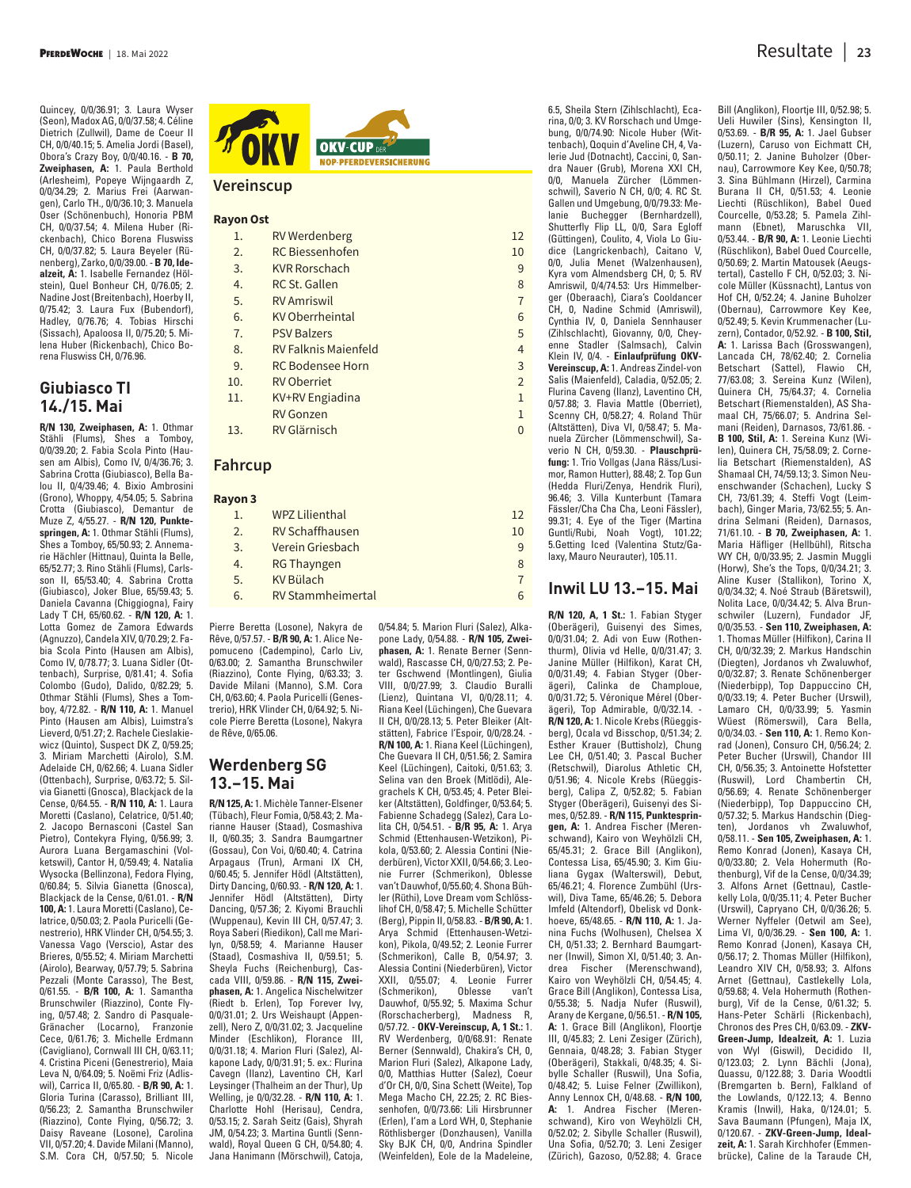Quincey, 0/0/36.91; 3. Laura Wyser (Seon), Madox AG, 0/0/37.58; 4. Céline Dietrich (Zullwil), Dame de Coeur II CH, 0/0/40.15; 5. Amelia Jordi (Basel), Obora's Crazy Boy, 0/0/40.16. - **B 70, Zweiphasen, A:** 1. Paula Berthold (Arlesheim), Popeye Wijngaardh Z, 0/0/34.29; 2. Marius Frei (Aarwangen), Carlo TH., 0/0/36.10; 3. Manuela Oser (Schönenbuch), Honoria PBM CH, 0/0/37.54; 4. Milena Huber (Rickenbach), Chico Borena Fluswiss CH, 0/0/37.82; 5. Laura Beyeler (Rünenberg), Zarko, 0/0/39.00. - **B 70, Idealzeit, A:** 1. Isabelle Fernandez (Hölstein), Quel Bonheur CH, 0/76.05; 2. Nadine Jost (Breitenbach), Hoerby II, 0/75.42; 3. Laura Fux (Bubendorf), Hadley, 0/76.76; 4. Tobias Hirschi (Sissa ch), Apaloosa II, 0/75.20; 5. Milena Huber (Rickenbach), Chico Borena Fluswiss CH, 0/76.96.

## **Giubiasco TI 14./15. Mai**

**R/N 130, Zweiphasen, A:** 1. Othmar Stähli (Flums), Shes a Tomboy, 0/0/39.20; 2. Fabia Scola Pinto (Hausen am Albis), Como IV, 0/4/36.76; 3. Sabrina Crotta (Giubiasco), Bella Balou II, 0/4/39.46; 4. Bixio Ambrosini (Grono), Whoppy, 4/54.05; 5. Sabrina Crotta (Giubiasco), Demantur de Muze Z, 4/55.27. - **R/N 120, Punktespringen, A:** 1. Othmar Stähli (Flums), Shes a Tomboy, 65/50.93; 2. Annemarie Hächler (Hittnau), Quinta la Belle, 65/52.77; 3. Rino Stähli (Flums), Carlsson II, 65/53.40; 4. Sabrina Crotta (Giubiasco), Joker Blue, 65/59.43; 5. Daniela Cavanna (Chiggiogna), Fairy Lady T CH, 65/60.62. - **R/N 120, A:** 1. Lotta Gomez de Zamora Edwards (Agnuzzo), Candela XIV, 0/70.29; 2. Fabia Scola Pinto (Hausen am Albis), Como IV, 0/78.77; 3. Luana Sidler (Ottenbach), Surprise, 0/81.41; 4. Sofia Colombo (Gudo), Dalido, 0/82.29; 5. Othmar Stähli (Flums), Shes a Tomboy, 4/72.82. - **R/N 110, A:** 1. Manuel Pinto (Hausen am Albis), Luimstra's Lieverd, 0/51.27; 2. Rachele Cieslakiewicz (Quinto), Suspect DK Z, 0/59.25; 3. Miriam Marchetti (Airolo), S.M. Adelaide CH, 0/62.66; 4. Luana Sidler (Ottenbach), Surprise, 0/63.72; 5. Silvia Gianetti (Gnosca), Blackjack de la Cense, 0/64.55. - **R/N 110, A:** 1. Laura Moretti (Caslano), Celatrice, 0/51.40; 2. Jacopo Bernasconi (Castel San Pietro), Contekyra Flying, 0/56.99; 3. Aurora Luana Bergamaschini (Volketswil), Cantor H, 0/59.49; 4. Natalia Wysocka (Bellinzona), Fedora Flying, 0/60.84; 5. Silvia Gianetta (Gnosca), Blackjack de la Cense, 0/61.01. - **R/N 100, A:** 1. Laura Moretti (Caslano), Celatrice, 0/50.03; 2. Paola Puricelli (Genestrerio), HRK Vlinder CH, 0/54.55; 3. Vanessa Vago (Verscio), Astar des Brieres, 0/55.52; 4. Miriam Marchetti (Airolo), Bearway, 0/57.79; 5. Sabrina Pezzali (Monte Carasso), The Best, 0/61.55. - **B/R 100, A:** 1. Samantha Brunschwiler (Riazzino), Conte Flying, 0/57.48; 2. Sandro di Pasquale-Gränacher (Locarno), Franzonie Cece, 0/61.76; 3. Michelle Erdmann (Cavigliano), Cornwall III CH, 0/63.11; 4. Cristina Piceni (Genestrerio), Maia Leva N, 0/64.09; 5. Noëmi Friz (Adliswil), Carrica II, 0/65.80. - **B/R 90, A:** 1. Gloria Turina (Carasso), Brilliant III, 0/56.23; 2. Samantha Brunschwiler (Riazzino), Conte Flying, 0/56.72; 3. Daisy Raveane (Losone), Carolina VII, 0/57.20; 4. Davide Milani (Manno), S.M. Cora CH, 0/57.50; 5. Nicole



#### **Vereinscup**

#### **Rayon Ost**

- 1. RV Werdenberg 12
- 2. RC Biessenhofen 10
- 3. KVR Rorschach 9 4. RC St. Gallen 8
- 5. RV Amriswil 7
- 6. KV Oberrheintal 6
- 7. PSV Balzers 5
- 8. RV Falknis Maienfeld 4
- 9. RC Bodensee Horn 3
- 10. RV Oberriet 2
- 11. KV+RV Engiadina 1
- RV Gonzen 1 and 1 and 1 and 1 and 1 and 1 and 1 and 1 and 1 and 1 and 1 and 1 and 1 and 1 and 1 and 1 and 1 and 1 and 1 and 1 and 1 and 1 and 1 and 1 and 1 and 1 and 1 and 1 and 1 and 1 and 1 and 1 and 1 and 1 and 1 and 1
- 13. RV Glärnisch 0

#### **Fahrcup**

#### **Rayon 3**

| $\mathbf{1}$ . | <b>WPZ Lilienthal</b>    | 12 |
|----------------|--------------------------|----|
| 2 <sub>1</sub> | <b>RV Schaffhausen</b>   | 10 |
| 3.             | Verein Griesbach         | 9  |
| 4.             | <b>RG Thayngen</b>       | 8  |
| 5.             | <b>KV Bülach</b>         |    |
| 6.             | <b>RV Stammheimertal</b> |    |
|                |                          |    |

Pierre Beretta (Losone), Nakyra de Rêve, 0/57.57. - **B/R 90, A:** 1. Alice Nepomuceno (Cadempino), Carlo Liv, 0/63.00; 2. Samantha Brunschwiler (Riazzino), Conte Flying, 0/63.33; 3. Davide Milani (Manno), S.M. Cora CH, 0/63.60; 4. Paola Puricelli (Genes trerio), HRK Vlinder CH, 0/64.92; 5. Nicole Pierre Beretta (Losone), Nakyra de Rêve, 0/65.06.

#### **Werdenberg SG 13.–15. Mai**

**R/N 125, A:** 1. Michèle Tanner-Elsener (Tübach), Fleur Fomia, 0/58.43; 2. Marianne Hauser (Staad), Cosmashiva II, 0/60.35; 3. Sandra Baumgartner (Gossau), Con Voi, 0/60.40; 4. Catrina Arpagaus (Trun), Armani IX CH, 0/60.45; 5. Jennifer Hödl (Altstätten), Dirty Dancing, 0/60.93. - **R/N 120, A:** 1. Jennifer Hödl (Altstätten), Dirty Dancing, 0/57.36; 2. Kiyomi Brauchli (Wuppenau), Kevin III CH, 0/57.47; 3. Roya Saberi (Riedikon), Call me Marilyn, 0/58.59; 4. Marianne Hauser (Staad), Cosmashiva II, 0/59.51; 5. Sheyla Fuchs (Reichenburg), Cascada VIII, 0/59.86. - **R/N 115, Zweiphasen, A:** 1. Angelica Nischelwitzer (Riedt b. Erlen), Top Forever Ivy, 0/0/31.01; 2. Urs Weishaupt (Appenzell), Nero Z, 0/0/31.02; 3. Jacqueline Minder (Eschlikon), Florance III, 0/0/31.18; 4. Marion Fluri (Salez), Alkapone Lady, 0/0/31.91; 5. ex.: Flurina Cavegn (Ilanz), Laventino CH, Karl Leysinger (Thalheim an der Thur), Up Welling, je 0/0/32.28. - **R/N 110, A:** 1. Charlotte Hohl (Herisau), Cendra, 0/53.15; 2. Sarah Seitz (Gais), Shyrah JM, 0/54.23; 3. Martina Guntli (Sennwald), Royal Queen G CH, 0/54.80; 4. Jana Hanimann (Mörschwil), Catoja, 0/54.84; 5. Marion Fluri (Salez), Alkapone Lady, 0/54.88. - **R/N 105, Zweiphasen, A:** 1. Renate Berner (Sennwald), Rascasse CH, 0/0/27.53; 2. Peter Gschwend (Montlingen), Giulia VIII, 0/0/27.99; 3. Claudio Buralli (Lienz), Quintana VI, 0/0/28.11; 4. Riana Keel (Lüchingen), Che Guevara II CH, 0/0/28.13; 5. Peter Bleiker (Altstätten), Fabrice l'Espoir, 0/0/28.24. - **R/N 100, A:** 1. Riana Keel (Lüchingen), Che Guevara II CH, 0/51.56; 2. Samira Keel (Lüchingen), Caitoki, 0/51.63; 3. Selina van den Broek (Mitlödi), Alegrachels K CH, 0/53.45; 4. Peter Bleiker (Altstätten), Goldfinger, 0/53.64; 5. Fabienne Schadegg (Salez), Cara Lolita CH, 0/54.51. - **B/R 95, A:** 1. Arya Schmid (Ettenhausen-Wetzikon), Pikola, 0/53.60; 2. Alessia Contini (Niederbüren), Victor XXII, 0/54.66; 3. Leonie Furrer (Schmerikon), Oblesse van't Dauwhof, 0/55.60; 4. Shona Bühler (Rüthi), Love Dream vom Schlösslihof CH, 0/58.47; 5. Michelle Schütter (Berg), Pippin II, 0/58.83. - **B/R 90, A:** 1. Arya Schmid (Ettenhausen-Wetzikon), Pikola, 0/49.52; 2. Leonie Furrer (Schmerikon), Calle B, 0/54.97; 3. Alessia Contini (Niederbüren), Victor XXII, 0/55.07; 4. Leonie Furrer (Schmerikon), Oblesse van't Dauwhof, 0/55.92; 5. Maxima Schur (Rorschacherberg), Madness R, 0/57.72. - **OKV-Vereinscup, A, 1 St.:** 1. RV Werdenberg, 0/0/68.91: Renate Berner (Sennwald), Chakira's CH, 0, Marion Fluri (Salez), Alkapone Lady, 0/0, Matthias Hutter (Salez), Coeur d'Or CH, 0/0, Sina Schett (Weite), Top Mega Macho CH, 22.25; 2. RC Biessenhofen, 0/0/73.66: Lili Hirsbrunner (Erlen), I'am a Lord WH, 0, Stephanie Röthlisberger (Donzhausen), Vanilla Sky BJK CH, 0/0, Andrina Spindler (Weinfelden), Eole de la Madeleine,

6.5, Sheila Stern (Zihlschlacht), Ecarina, 0/0; 3. KV Rorschach und Umgebung, 0/0/74.90: Nicole Huber (Wittenbach), Qoquin d'Aveline CH, 4, Valerie Jud (Dotnacht), Caccini, 0, Sandra Nauer (Grub), Morena XXI CH, 0/0, Manuela Zürcher (Lömmenschwil), Saverio N CH, 0/0; 4. RC St. Gallen und Umgebung, 0/0/79.33: Melanie Buchegger (Bernhardzell), Shutterfly Flip LL, 0/0, Sara Egloff (Güttingen), Coulito, 4, Viola Lo Giudice (Langrickenbach), Caitano V, 0/0, Julia Menet (Walzenhausen), Kyra vom Almendsberg CH, 0; 5. RV Amriswil, 0/4/74.53: Urs Himmelberger (Oberaach), Ciara's Cooldancer CH, 0, Nadine Schmid (Amriswil), Cynthia IV, 0, Daniela Sennhauser (Zihlschlacht), Giovanny, 0/0, Cheyenne Stadler (Salmsach), Calvin Klein IV, 0/4. - **Einlaufprüfung OKV-Vereinscup, A:** 1. Andreas Zindel-von Salis (Maienfeld), Caladia, 0/52.05; 2. Flurina Caveng (Ilanz), Laventino CH, 0/57.88; 3. Flavia Mattle (Oberriet), Scenny CH, 0/58.27; 4. Roland Thür (Altstätten), Diva VI, 0/58.47; 5. Manuela Zürcher (Lömmenschwil), Saverio N CH, 0/59.30. - **Plauschprüfung:** 1. Trio Vollgas (Jana Räss/Lusimor, Ramon Hutter), 88.48; 2. Top Gun (Hedda Fluri/Zenya, Hendrik Fluri), 96.46; 3. Villa Kunterbunt (Tamara Fässler/Cha Cha Cha, Leoni Fässler), 99.31; 4. Eye of the Tiger (Martina Guntli/Rubi, Noah Vogt), 101.22; 5.Getting Iced (Valentina Stutz/Galaxy, Mauro Neurauter), 105.11.

#### **Inwil LU 13.–15. Mai**

**R/N 120, A, 1 St.:** 1. Fabian Styger (Oberägeri), Guisenyi des Simes, 0/0/31.04; 2. Adi von Euw (Rothen thurm), Olivia vd Helle, 0/0/31.47; 3. Janine Müller (Hilfikon), Karat CH, 0/0/31.49; 4. Fabian Styger (Ober ägeri), Calinka de Champloue, 0/0/31.72; 5. Véronique Mérel (Ober ägeri), Top Admirable, 0/0/32.14. - **R/N 120, A:** 1. Nicole Krebs (Rüeggisberg), Ocala vd Bisschop, 0/51.34; 2. Esther Krauer (Buttisholz), Chung Lee CH, 0/51.40; 3. Pascal Bucher (Retschwil), Diarolus Athletic CH, 0/51.96; 4. Nicole Krebs (Rüeggisberg), Calipa Z, 0/52.82; 5. Fabian Styger (Oberägeri), Guisenyi des Simes, 0/52.89. - **R/N 115, Punktespringen, A:** 1. Andrea Fischer (Merenschwand), Kairo von Weyhölzli CH, 65/45.31; 2. Grace Bill (Anglikon), Contessa Lisa, 65/45.90; 3. Kim Giuliana Gygax (Walterswil), Debut, 65/46.21; 4. Florence Zumbühl (Urswil), Diva Tame, 65/46.26; 5. Debora Imfeld (Altendorf), Obelisk vd Donkhoeve, 65/48.65. - **R/N 110, A:** 1. Janina Fuchs (Wolhusen), Chelsea X CH, 0/51.33; 2. Bernhard Baumgartner (Inwil), Simon XI, 0/51.40; 3. Andrea Fischer (Merenschwand), Kairo von Weyhölzli CH, 0/54.45; 4. Grace Bill (Anglikon), Contessa Lisa, 0/55.38; 5. Nadja Nufer (Ruswil), Arany de Kergane, 0/56.51. - **R/N 105, A:** 1. Grace Bill (Anglikon), Floortje III, 0/45.83; 2. Leni Zesiger (Zürich), Gennaia, 0/48.28; 3. Fabian Styger (Oberägeri), Stakkali, 0/48.35; 4. Sibylle Schaller (Ruswil), Una Sofia, 0/48.42; 5. Luise Felner (Zwillikon), Anny Lennox CH, 0/48.68. - **R/N 100, A:** 1. Andrea Fischer (Merenschwand), Kiro von Weyhölzli CH, 0/52.02; 2. Sibylle Schaller (Ruswil), Una Sofia, 0/52.70; 3. Leni Zesiger (Zürich), Gazoso, 0/52.88; 4. Grace

Bill (Anglikon), Floortje III, 0/52.98; 5. Ueli Huwiler (Sins), Kensington II, 0/53.69. - **B/R 95, A:** 1. Jael Gubser (Luzern), Caruso von Eichmatt CH, 0/50.11; 2. Janine Buholzer (Obernau), Carrowmore Key Kee, 0/50.78; 3. Sina Bühlmann (Hirzel), Carmina Burana II CH, 0/51.53; 4. Leonie Liechti (Rüschlikon), Babel Oued Courcelle, 0/53.28; 5. Pamela Zihlmann (Ebnet), Maruschka VII, 0/53.44. - **B/R 90, A:** 1. Leonie Liechti (Rüschlikon), Babel Oued Courcelle, 0/50.69; 2. Martin Matousek (Aeugstertal), Castello F CH, 0/52.03; 3. Nicole Müller (Küssnacht), Lantus von Hof CH, 0/52.24; 4. Janine Buholzer (Obernau), Carrowmore Key Kee, 0/52.49; 5. Kevin Krummenacher (Luzern), Contador, 0/52.92. - **B 100, Stil, A:** 1. Larissa Bach (Grosswangen), Lancada CH, 78/62.40; 2. Cornelia Betschart (Sattel), Flawio CH, 77/63.08; 3. Sereina Kunz (Wilen), Quinera CH, 75/64.37; 4. Cornelia Betschart (Riemenstalden), AS Shamaal CH, 75/66.07; 5. Andrina Selmani (Reiden), Darnasos, 73/61.86. - **B 100, Stil, A:** 1. Sereina Kunz (Wilen), Quinera CH, 75/58.09; 2. Cornelia Betschart (Riemenstalden), AS Shamaal CH, 74/59.13; 3. Simon Neuenschwander (Schachen), Lucky S CH, 73/61.39; 4. Steffi Vogt (Leimbach), Ginger Maria, 73/62.55; 5. Andrina Selmani (Reiden), Darnasos, 71/61.10. - **B 70, Zweiphasen, A:** 1. Maria Häfliger (Hellbühl), Ritscha WY CH, 0/0/33.95; 2. Jasmin Muggli (Horw), She's the Tops, 0/0/34.21; 3. Aline Kuser (Stallikon), Torino X, 0/0/34.32; 4. Noé Straub (Bäretswil), Nolita Lace, 0/0/34.42; 5. Alva Brunschwiler (Luzern), Fundador JF, 0/0/35.53. - **Sen 110, Zweiphasen, A:** 1. Thomas Müller (Hilfikon), Carina II CH, 0/0/32.39; 2. Markus Handschin (Diegten), Jordanos vh Zwaluwhof, 0/0/32.87; 3. Renate Schönenberger (Niederbipp), Top Dappuccino CH, 0/0/33.19; 4. Peter Bucher (Urswil), Lamaro CH, 0/0/33.99; 5. Yasmin Wüest (Römerswil), Cara Bella, 0/0/34.03. - **Sen 110, A:** 1. Remo Konrad (Jonen), Consuro CH, 0/56.24; 2. Peter Bucher (Urswil), Chandor III CH, 0/56.35; 3. Antoinette Hofstetter (Ruswil), Lord Chambertin CH, 0/56.69; 4. Renate Schönenberger (Niederbipp), Top Dappuccino CH, 0/57.32; 5. Markus Handschin (Diegten), Jordanos vh Zwaluwhof, 0/58.11. - **Sen 105, Zweiphasen, A:** 1. Remo Konrad (Jonen), Kasaya CH, 0/0/33.80; 2. Vela Hohermuth (Rothenburg), Vif de la Cense, 0/0/34.39; 3. Alfons Arnet (Gettnau), Castlekelly Lola, 0/0/35.11; 4. Peter Bucher (Urswil), Capryano CH, 0/0/36.26; 5. Werner Nyffeler (Oetwil am See), Lima VI, 0/0/36.29. - **Sen 100, A:** 1. Remo Konrad (Jonen), Kasaya CH, 0/56.17; 2. Thomas Müller (Hilfikon), Leandro XIV CH, 0/58.93; 3. Alfons Arnet (Gettnau), Castlekelly Lola, 0/59.68; 4. Vela Hohermuth (Rothenburg), Vif de la Cense, 0/61.32; 5. Hans-Peter Schärli (Rickenbach), Chronos des Pres CH, 0/63.09. - **ZKV-Green-Jump, Idealzeit, A:** 1. Luzia von Wyl (Giswil), Decidido II, 0/123.03; 2. Lynn Bächli (Jona), Quassu, 0/122.88; 3. Daria Woodtli (Bremgarten b. Bern), Falkland of the Lowlands, 0/122.13; 4. Benno Kramis (Inwil), Haka, 0/124.01; 5. Sava Baumann (Pfungen), Maja IX, 0/120.67. - **ZKV-Green-Jump, Idealzeit, A:** 1. Sarah Kirchhofer (Emmenbrücke), Caline de la Taraude CH,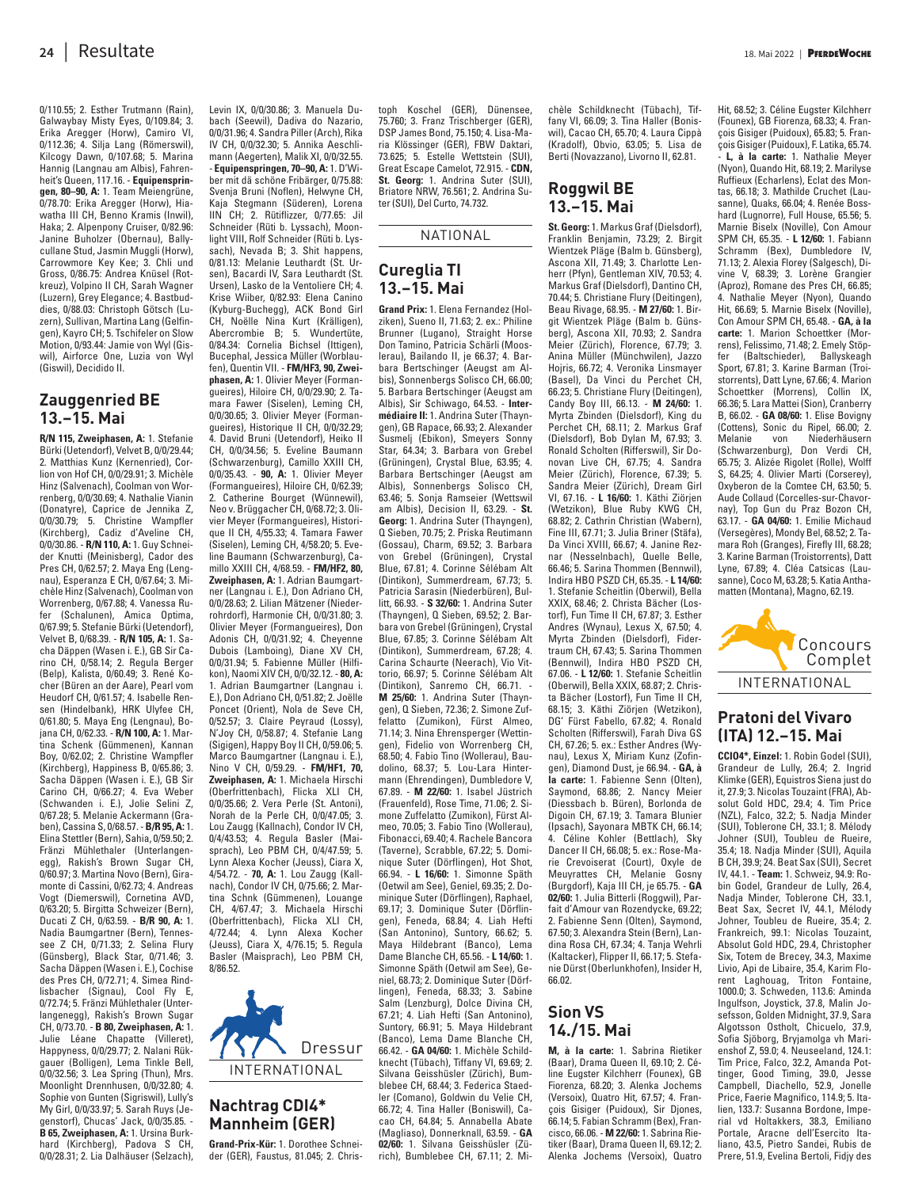0/110.55; 2. Esther Trutmann (Rain), Galwaybay Misty Eyes, 0/109.84; 3. Erika Aregger (Horw), Camiro VI, 0/112.36; 4. Silja Lang (Römerswil), Kilcogy Dawn, 0/107.68; 5. Marina Hannig (Langnau am Albis), Fahrenheit's Queen, 117.16. - **Equipenspringen, 80–90, A:** 1. Team Meiengrüne, 0/78.70: Erika Aregger (Horw), Hiawatha III CH, Benno Kramis (Inwil), Haka; 2. Alpenpony Cruiser, 0/82.96: Janine Buholzer (Obernau), Ballycullane Stud, Jasmin Muggli (Horw), Carrowmore Key Kee; 3. Chli und Gross, 0/86.75: Andrea Knüsel (Rotkreuz), Volpino II CH, Sarah Wagner (Luzern), Grey Elegance; 4. Bastbuddies, 0/88.03: Christoph Götsch (Luzern), Sullivan, Martina Lang (Gelfingen), Kayro CH; 5. Tschifeler on Slow Motion, 0/93.44: Jamie von Wyl (Giswil), Airforce One, Luzia von Wyl (Giswil), Decidido II.

### **Zauggenried BE 13.–15. Mai**

**R/N 115, Zweiphasen, A:** 1. Stefanie Bürki (Uetendorf), Velvet B, 0/0/29.44; 2. Matthias Kunz (Kernenried), Corlion von Hof CH, 0/0/29.91; 3. Michèle Hinz (Salvenach), Coolman von Worrenberg, 0/0/30.69; 4. Nathalie Vianin (Donatyre), Caprice de Jennika Z, 0/0/30.79; 5. Christine Wampfler (Kirchberg), Cadiz d'Aveline CH, 0/0/30.86. - **R/N 110, A:** 1. Guy Schneider Knutti (Meinisberg), Cador des Pres CH, 0/62.57; 2. Maya Eng (Lengnau), Esperanza E CH, 0/67.64; 3. Michèle Hinz (Salvenach), Coolman von Worrenberg, 0/67.88; 4. Vanessa Rufer (Schalunen), Amica Optima, 0/67.99; 5. Stefanie Bürki (Uetendorf), Velvet B, 0/68.39. - **R/N 105, A:** 1. Sacha Däppen (Wasen i. E.), GB Sir Carino CH, 0/58.14; 2. Regula Berger (Belp), Kalista, 0/60.49; 3. René Kocher (Büren an der Aare), Pearl vom Heudorf CH, 0/61.57; 4. Isabelle Rensen (Hindelbank), HRK Ulyfee CH, 0/61.80; 5. Maya Eng (Lengnau), Bojana CH, 0/62.33. - **R/N 100, A:** 1. Martina Schenk (Gümmenen), Kannan Boy, 0/62.02; 2. Christine Wampfler (Kirchberg), Happiness B, 0/65.86; 3. Sacha Däppen (Wasen i. E.), GB Sir Carino CH, 0/66.27; 4. Eva Weber (Schwanden i. E.), Jolie Selini Z, 0/67.28; 5. Melanie Ackermann (Graben), Cassina S, 0/68.57. - **B/R 95, A:** 1. Elina Stettler (Bern), Sahia, 0/59.50; 2. Fränzi Mühlethaler (Unterlangenegg), Rakish's Brown Sugar CH, 0/60.97; 3. Martina Novo (Bern), Giramonte di Cassini, 0/62.73; 4. Andreas Vogt (Diemerswil), Cornetina AVD, 0/63.20; 5. Birgitta Schweizer (Bern), Ducati Z CH, 0/63.59. - **B/R 90, A:** 1. Nadia Baumgartner (Bern), Tennessee Z CH, 0/71.33; 2. Selina Flury (Günsberg), Black Star, 0/71.46; 3. Sacha Däppen (Wasen i. E.), Cochise des Pres CH, 0/72.71; 4. Simea Rindlisbacher (Signau), Cool Fly E, 0/72.74; 5. Fränzi Mühlethaler (Unterlangenegg), Rakish's Brown Sugar CH, 0/73.70. - **B 80, Zweiphasen, A:** 1. Julie Léane Chapatte (Villeret), Happyness, 0/0/29.77; 2. Nalani Rükgauer (Bolligen), Lema Tinkle Bell, 0/0/32.56; 3. Lea Spring (Thun), Mrs. Moonlight Drennhusen, 0/0/32.80; 4. Sophie von Gunten (Sigriswil), Lully's My Girl, 0/0/33.97; 5. Sarah Ruys (Jegenstorf), Chucas' Jack, 0/0/35.85. - **B 65, Zweiphasen, A:** 1. Ursina Burkhard (Kirchberg), Padova S CH, 0/0/28.31; 2. Lia Dalhäuser (Selzach),

bach (Seewil), Dadiva do Nazario, 0/0/31.96; 4. Sandra Piller (Arch), Rika IV CH, 0/0/32.30; 5. Annika Aeschlimann (Aegerten), Malik XI, 0/0/32.55. - **Equipenspringen, 70–90, A:** 1. D'Wiber mit dä schöne Fribärger, 0/75.88: Svenja Bruni (Noflen), Helwyne CH, Kaja Stegmann (Süderen), Lorena IIN CH; 2. Rütiflizzer, 0/77.65: Jil Schneider (Rüti b. Lyssach), Moonlight VIII, Rolf Schneider (Rüti b. Lyssach), Nevada B; 3. Shit hannens, 0/81.13: Melanie Leuthardt (St. Ursen), Bacardi IV, Sara Leuthardt (St. Ursen), Lasko de la Ventoliere CH; 4. Krise Wiiber, 0/82.93: Elena Canino (Kyburg-Buchegg), ACK Bond Girl CH, Noëlle Nina Kurt (Krälligen), Abercrombie B; 5. Wundertüte, 0/84.34: Cornelia Bichsel (Ittigen), Bucephal, Jessica Müller (Worblaufen), Quentin VII. - **FM/HF3, 90, Zweiphasen, A:** 1. Olivier Meyer (Formangueires), Hiloire CH, 0/0/29.90; 2. Tamara Fawer (Siselen), Leming CH, 0/0/30.65; 3. Olivier Meyer (Formangueires), Historique II CH, 0/0/32.29; 4. David Bruni (Uetendorf), Heiko II CH, 0/0/34.56; 5. Eveline Baumann (Schwarzenburg), Camillo XXIII CH, 0/0/35.43. - **90, A:** 1. Olivier Meyer (Formangueires), Hiloire CH, 0/62.39; 2. Catherine Bourget (Wünnewil), Neo v. Brüggacher CH, 0/68.72; 3. Olivier Meyer (Formangueires), Historique II CH, 4/55.33; 4. Tamara Fawer (Siselen), Leming CH, 4/58.20; 5. Eveline Baumann (Schwarzenburg), Camillo XXIII CH, 4/68.59. - **FM/HF2, 80, Zweiphasen, A:** 1. Adrian Baumgartner (Langnau i. E.), Don Adriano CH, 0/0/28.63; 2. Lilian Mätzener (Niederrohrdorf), Harmonie CH, 0/0/31.80; 3. Olivier Meyer (Formangueires), Don Adonis CH, 0/0/31.92; 4. Cheyenne Dubois (Lamboing), Diane XV CH, 0/0/31.94; 5. Fabienne Müller (Hilfikon), Naomi XIV CH, 0/0/32.12. - **80, A:** 1. Adrian Baumgartner (Langnau i. E.), Don Adriano CH, 0/51.82; 2. Joëlle Poncet (Orient), Nola de Seve CH, 0/52.57; 3. Claire Peyraud (Lossy), N'Joy CH, 0/58.87; 4. Stefanie Lang (Sigigen), Happy Boy II CH, 0/59.06; 5. Marco Baumgartner (Langnau i. E.), Nino V CH, 0/59.29. - **FM/HF1, 70, Zweiphasen, A:** 1. Michaela Hirschi (Oberfrittenbach), Flicka XLI CH, 0/0/35.66; 2. Vera Perle (St. Antoni), Norah de la Perle CH, 0/0/47.05; 3. Lou Zaugg (Kallnach), Condor IV CH, 0/4/43.53; 4. Regula Basler (Maisprach), Leo PBM CH, 0/4/47.59; 5. Lynn Alexa Kocher (Jeuss), Ciara X, 4/54.72. - **70, A:** 1. Lou Zaugg (Kallnach), Condor IV CH, 0/75.66; 2. Martina Schnk (Gümmenen), Louange CH, 4/67.47; 3. Michaela Hirschi (Oberfrittenbach), Flicka XLI CH, 4/72.44; 4. Lynn Alexa Kocher (Jeuss), Ciara X, 4/76.15; 5. Regula Basler (Maisprach), Leo PBM CH, 8/86.52.

Levin IX, 0/0/30.86; 3. Manuela Du-



# **Nachtrag CDI4\* Mannheim (GER)**

**Grand-Prix-Kür:** 1. Dorothee Schneider (GER), Faustus, 81.045; 2. Chris -

toph Koschel (GER), Dünensee, 75.760; 3. Franz Trischberger (GER), DSP James Bond, 75.150; 4. Lisa-Maria Klössinger (GER), FBW Daktari, 73.625; 5. Estelle Wettstein (SUI), Great Escape Camelot, 72.915. - **CDN, St. Georg:** 1. Andrina Suter (SUI), Briatore NRW, 76.561; 2. Andrina Suter (SUI), Del Curto, 74.732.

NATIONAL

### **Cureglia TI 13.–15. Mai**

**Grand Prix:** 1. Elena Fernandez (Holziken), Sueno II, 71.63; 2. ex.: Philine Brunner (Lugano), Straight Horse Don Tamino, Patricia Schärli (Mooslerau), Bailando II, je 66.37; 4. Barbara Bertschinger (Aeugst am Albis), Sonnenbergs Solisco CH, 66.00; 5. Barbara Bertschinger (Aeugst am Albis), Sir Schiwago, 64.53. - **Intermédiaire II:** 1. Andrina Suter (Thayngen), GB Rapace, 66.93; 2. Alexander Susmelj (Ebikon), Smeyers Sonny Star, 64.34; 3. Barbara von Grebel (Grüningen), Crystal Blue, 63.95; 4. Barbara Bertschinger (Aeugst am Albis), Sonnenbergs Solisco CH, 63.46; 5. Sonja Ramseier (Wettswil am Albis), Decision II, 63.29. - **St. Georg:** 1. Andrina Suter (Thayngen), Q Sieben, 70.75; 2. Priska Reutimann (Gossau), Charm, 69.52; 3. Barbara von Grebel (Grüningen), Crystal Blue, 67.81; 4. Corinne Sélébam Alt (Dintikon), Summerdream, 67.73; 5. Patricia Sarasin (Niederbüren), Bullitt, 66.93. - **S 32/60:** 1. Andrina Suter (Thayngen), Q Sieben, 69.52; 2. Barbara von Grebel (Grüningen), Crystal Blue, 67.85; 3. Corinne Sélébam Alt (Dintikon), Summerdream, 67.28; 4. Carina Schaurte (Neerach), Vio Vittorio, 66.97; 5. Corinne Sélébam Alt (Dintikon), Sanremo CH, 66.71. - **M 25/60:** 1. Andrina Suter (Thayngen), Q Sieben, 72.36; 2. Simone Zuffelatto (Zumikon), Fürst Almeo, 71.14; 3. Nina Ehrensperger (Wettingen), Fidelio von Worrenberg CH, 68.50; 4. Fabio Tino (Wollerau), Baudolino, 68.37; 5. Lou-Lara Hintermann (Ehrendingen), Dumbledore V, 67.89. - **M 22/60:** 1. Isabel Jüstrich (Frauenfeld), Rose Time, 71.06; 2. Simone Zuffelatto (Zumikon), Fürst Almeo, 70.05; 3. Fabio Tino (Wollerau), Fibonacci, 69.40; 4. Rachele Bancora (Taverne), Scrabble, 67.22; 5. Dominique Suter (Dörflingen), Hot Shot, 66.94. - **L 16/60:** 1. Simonne Späth (Oetwil am See), Geniel, 69.35; 2. Dominique Suter (Dörflingen), Raphael, 69.17; 3. Dominique Suter (Dörflingen), Feneda, 68.84; 4. Liah Hefti (San Antonino), Suntory, 66.62; 5. Maya Hildebrant (Banco), Lema Dame Blanche CH, 65.56. - **L 14/60:** 1. Simonne Späth (Oetwil am See), Geniel, 68.73; 2. Dominique Suter (Dörflingen), Feneda, 68.33; 3. Sabine Salm (Lenzburg), Dolce Divina CH, 67.21; 4. Liah Hefti (San Antonino), Suntory, 66.91; 5. Maya Hildebrant (Banco), Lema Dame Blanche CH, 66.42. - **GA 04/60:** 1. Michèle Schildknecht (Tübach), Tiffany VI, 69.69; 2. Silvana Geisshüsler (Zürich), Bumblebee CH, 68.44; 3. Federica Staedler (Comano), Goldwin du Velie CH, 66.72; 4. Tina Haller (Boniswil), Cacao CH, 64.84; 5. Annabella Abate (Magliaso), Donnerknall, 63.59. - **GA 02/60:** 1. Silvana Geisshüsler (Zü-

rich), Bumblebee CH, 67.11; 2. Mi-

chèle Schildknecht (Tübach), Tiffany VI, 66.09; 3. Tina Haller (Boniswil), Cacao CH, 65.70; 4. Laura Cippà (Kradolf), Obvio, 63.05; 5. Lisa de Berti (Novazzano), Livorno II, 62.81.

# **Roggwil BE 13.–15. Mai**

**St. Georg:** 1. Markus Graf (Dielsdorf), Franklin Benjamin, 73.29; 2. Birgit Wientzek Pläge (Balm b. Günsberg), Ascona XII, 71.49; 3. Charlotte Lenherr (Pfyn), Gentleman XIV, 70.53; 4. Markus Graf (Dielsdorf), Dantino CH, 70.44; 5. Christiane Flury (Deitingen), Beau Rivage, 68.95. - **M 27/60:** 1. Birgit Wientzek Pläge (Balm b. Günsberg), Ascona XII, 70.93; 2. Sandra Meier (Zürich), Florence, 67.79; 3. Anina Müller (Münchwilen), Jazzo Hojris, 66.72; 4. Veronika Linsmayer (Basel), Da Vinci du Perchet CH, 66.23; 5. Christiane Flury (Deitingen), Candy Boy III, 66.13. - **M 24/60:** 1. Myrta Zbinden (Dielsdorf), King du Perchet CH, 68.11; 2. Markus Graf (Dielsdorf), Bob Dylan M, 67.93; 3. Ronald Scholten (Rifferswil), Sir Donovan Live CH, 67.75; 4. Sandra Meier (Zürich), Florence, 67.39; 5. Sandra Meier (Zürich), Dream Girl VI, 67.16. - **L 16/60:** 1. Käthi Ziörjen (Wetzikon), Blue Ruby KWG CH, 68.82; 2. Cathrin Christian (Wabern), Fine III, 67.71; 3. Julia Briner (Stäfa), Da Vinci XVIII, 66.67; 4. Janine Reznar (Nesselnbach), Quelle Belle, 66.46; 5. Sarina Thommen (Bennwil), Indira HBO PSZD CH, 65.35. - **L 14/60:** 1. Stefanie Scheitlin (Oberwil), Bella XXIX, 68.46; 2. Christa Bächer (Lostorf), Fun Time II CH, 67.87; 3. Esther Andres (Wynau), Lexus X, 67.50; 4. Myrta Zbinden (Dielsdorf), Fidertraum CH, 67.43; 5. Sarina Thommen (Bennwil), Indira HBO PSZD CH, 67.06. - **L 12/60:** 1. Stefanie Scheitlin (Oberwil), Bella XXIX, 68.87; 2. Chris ta Bächer (Lostorf), Fun Time II CH, 68.15; 3. Käthi Ziörjen (Wetzikon), DG' Fürst Fabello, 67.82; 4. Ronald Scholten (Rifferswil), Farah Diva GS CH, 67.26; 5. ex.: Esther Andres (Wynau), Lexus X, Miriam Kunz (Zofingen), Diamond Dust, je 66.94. - **GA, à la carte:** 1. Fabienne Senn (Olten), Saymond, 68.86; 2. Nancy Meier (Diessbach b. Büren), Borlonda de Digoin CH, 67.19; 3. Tamara Blunier (Ipsach), Sayonara MBTK CH, 66.14; 4. Céline Kohler (Bettlach), Sky Dancer II CH, 66.08; 5. ex.: Rose-Marie Crevoiserat (Court), Oxyle de Meuyrattes CH, Melanie Gosny (Burgdorf), Kaja III CH, je 65.75. - **GA 02/60:** 1. Julia Bitterli (Roggwil), Parfait d'Amour van Rozendycke, 69.22; 2. Fabienne Senn (Olten), Saymond, 67.50; 3. Alexandra Stein (Bern), Landina Rosa CH, 67.34; 4. Tanja Wehrli (Kaltacker), Flipper II, 66.17; 5. Stefanie Dürst (Oberlunkhofen), Insider H, 66.02.

### **Sion VS 14./15. Mai**

**M, à la carte:** 1. Sabrina Rietiker (Baar), Drama Queen II, 69.10; 2. Céline Eugster Kilchherr (Founex), GB Fiorenza, 68.20; 3. Alenka Jochems (Versoix), Quatro Hit, 67.57; 4. François Gisiger (Puidoux), Sir Djones, 66.14; 5. Fabian Schramm (Bex), Francisco, 66.06. - **M 22/60:** 1. Sabrina Rietiker (Baar), Drama Queen II, 69.12; 2. Alenka Jochems (Versoix), Quatro

Hit, 68.52; 3. Céline Eugster Kilchherr (Founex), GB Fiorenza, 68.33; 4. François Gisiger (Puidoux), 65.83; 5. François Gisiger (Puidoux), F. Latika, 65.74.

- **L, à la carte:** 1. Nathalie Meyer (Nyon), Quando Hit, 68.19; 2. Marilyse Ruffieux (Echarlens), Eclat des Montas, 66.18; 3. Mathilde Cruchet (Lausanne), Quaks, 66.04; 4. Renée Bosshard (Lugnorre), Full House, 65.56; 5. Marnie Biselx (Noville), Con Amour SPM CH, 65.35. - **L 12/60:** 1. Fabiann Schramm (Bex), Dumbledore IV, 71.13; 2. Alexia Florey (Salgesch), Divine V, 68.39; 3. Lorène Grangier (Aproz), Romane des Pres CH, 66.85; 4. Nathalie Meyer (Nyon), Quando Hit, 66.69; 5. Marnie Biselx (Noville), Con Amour SPM CH, 65.48. - **GA, à la carte:** 1. Marion Schoettker (Morrens), Felissimo, 71.48; 2. Emely Stöp-(Baltschieder), Ballyskeagh Sport, 67.81; 3. Karine Barman (Troistorrents), Datt Lyne, 67.66; 4. Marion Schoettker (Morrens), Collin IX, 66.36; 5. Lara Mattei (Sion), Cranberry B, 66.02. - **GA 08/60:** 1. Elise Bovigny (Cottens), Sonic du Ripel, 66.00; 2. Niederhäusern (Schwarzenburg), Don Verdi CH, 65.75; 3. Alizée Rigolet (Rolle), Wolff S, 64.25; 4. Olivier Marti (Corserey), Oxyberon de la Comtee CH, 63.50; 5. Aude Collaud (Corcelles-sur-Chavornay), Top Gun du Praz Bozon CH, 63.17. - **GA 04/60:** 1. Emilie Michaud (Versegères), Mondy Bel, 68.52; 2. Tamara Roh (Granges), Firefly III, 68.28; 3. Karine Barman (Troistorrents), Datt Lyne, 67.89; 4. Cléa Catsicas (Lausanne), Coco M, 63.28; 5. Katia Anthamatten (Montana), Magno, 62.19.



### **Pratoni del Vivaro (ITA) 12.–15. Mai**

**CCIO4\*, Einzel:** 1. Robin Godel (SUI), Grandeur de Lully, 26.4; 2. Ingrid Klimke (GER), Equistros Siena just do it, 27.9; 3. Nicolas Touzaint (FRA), Absolut Gold HDC, 29.4; 4. Tim Price (NZL), Falco, 32.2; 5. Nadja Minder (SUI), Toblerone CH, 33.1; 8. Mélody Johner (SUI), Toubleu de Rueire, 35.4; 18. Nadja Minder (SUI), Aquila B CH, 39.9; 24. Beat Sax (SUI), Secret IV, 44.1. - **Team:** 1. Schweiz, 94.9: Robin Godel, Grandeur de Lully, 26.4, Nadja Minder, Toblerone CH, 33.1, Beat Sax, Secret IV, 44.1, Mélody Johner, Toubleu de Rueire, 35.4; 2. Frankreich, 99.1: Nicolas Touzaint, Absolut Gold HDC, 29.4, Christopher Six, Totem de Brecey, 34.3, Maxime Livio, Api de Libaire, 35.4, Karim Florent Laghouag, Triton Fontaine, 1000.0; 3. Schweden, 113.6: Aminda Ingulfson, Joystick, 37.8, Malin Josefsson, Golden Midnight, 37.9, Sara Algotsson Ostholt, Chicuelo, 37.9, Sofia Sjöborg, Bryjamolga vh Marienshof Z, 59.0; 4. Neuseeland, 124.1: Tim Price, Falco, 32.2, Amanda Pottinger, Good Timing, 39.0, Jesse Campbell, Diachello, 52.9, Jonelle Price, Faerie Magnifico, 114.9; 5. Italien, 133.7: Susanna Bordone, Imperial vd Holtakkers, 38.3, Emiliano Portale, Aracne dell'Esercito Italiano, 43.5, Pietro Sandei, Rubis de Prere, 51.9, Evelina Bertoli, Fidjy des